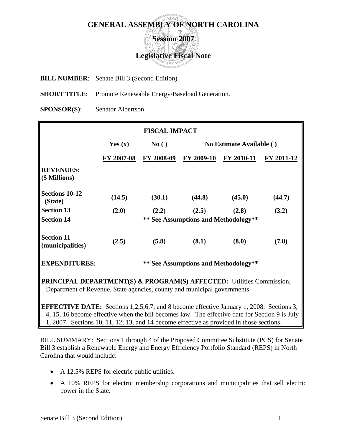## **GENERAL ASSEMBLY OF NORTH CAROLINA Session 2007 Legislative Fiscal Note**

**BILL NUMBER**: Senate Bill 3 (Second Edition)

**SHORT TITLE:** Promote Renewable Energy/Baseload Generation.

**SPONSOR(S)**: Senator Albertson

|                                                                                                                                                                                                  |            | <b>FISCAL IMPACT</b> |                                      |                          |            |  |
|--------------------------------------------------------------------------------------------------------------------------------------------------------------------------------------------------|------------|----------------------|--------------------------------------|--------------------------|------------|--|
|                                                                                                                                                                                                  | Yes $(x)$  | No()                 |                                      | No Estimate Available () |            |  |
|                                                                                                                                                                                                  | FY 2007-08 | FY 2008-09           | FY 2009-10                           | FY 2010-11               | FY 2011-12 |  |
| <b>REVENUES:</b><br>(\$ Millions)                                                                                                                                                                |            |                      |                                      |                          |            |  |
| <b>Sections 10-12</b><br>(State)                                                                                                                                                                 | (14.5)     | (30.1)               | (44.8)                               | (45.0)                   | (44.7)     |  |
| <b>Section 13</b>                                                                                                                                                                                | (2.0)      | (2.2)                | (2.5)                                | (2.8)                    | (3.2)      |  |
| <b>Section 14</b>                                                                                                                                                                                |            |                      | ** See Assumptions and Methodology** |                          |            |  |
| <b>Section 11</b><br>(municipalities)                                                                                                                                                            | (2.5)      | (5.8)                | (8.1)                                | (8.0)                    | (7.8)      |  |
| <b>EXPENDITURES:</b>                                                                                                                                                                             |            |                      | ** See Assumptions and Methodology** |                          |            |  |
| <b>PRINCIPAL DEPARTMENT(S) &amp; PROGRAM(S) AFFECTED:</b> Utilities Commission,<br>Department of Revenue, State agencies, county and municipal governments                                       |            |                      |                                      |                          |            |  |
| <b>EFFECTIVE DATE:</b> Sections 1,2,5,6,7, and 8 become effective January 1, 2008. Sections 3,<br>4, 15, 16 become effective when the bill becomes law. The effective date for Section 9 is July |            |                      |                                      |                          |            |  |

1, 2007. Sections 10, 11, 12, 13, and 14 become effective as provided in those sections.

BILL SUMMARY: Sections 1 through 4 of the Proposed Committee Substitute (PCS) for Senate Bill 3 establish a Renewable Energy and Energy Efficiency Portfolio Standard (REPS) in North Carolina that would include:

- A 12.5% REPS for electric public utilities.
- A 10% REPS for electric membership corporations and municipalities that sell electric power in the State.

IL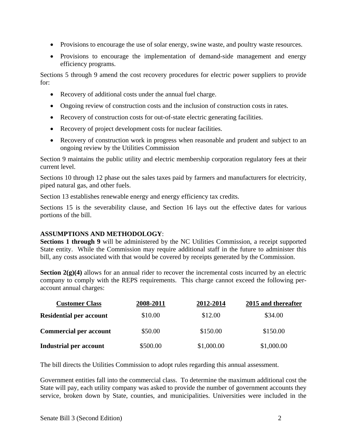- Provisions to encourage the use of solar energy, swine waste, and poultry waste resources.
- Provisions to encourage the implementation of demand-side management and energy efficiency programs.

Sections 5 through 9 amend the cost recovery procedures for electric power suppliers to provide for:

- Recovery of additional costs under the annual fuel charge.
- Ongoing review of construction costs and the inclusion of construction costs in rates.
- Recovery of construction costs for out-of-state electric generating facilities.
- Recovery of project development costs for nuclear facilities.
- Recovery of construction work in progress when reasonable and prudent and subject to an ongoing review by the Utilities Commission

Section 9 maintains the public utility and electric membership corporation regulatory fees at their current level.

Sections 10 through 12 phase out the sales taxes paid by farmers and manufacturers for electricity, piped natural gas, and other fuels.

Section 13 establishes renewable energy and energy efficiency tax credits.

Sections 15 is the severability clause, and Section 16 lays out the effective dates for various portions of the bill.

## **ASSUMPTIONS AND METHODOLOGY**:

**Sections 1 through 9** will be administered by the NC Utilities Commission, a receipt supported State entity. While the Commission may require additional staff in the future to administer this bill, any costs associated with that would be covered by receipts generated by the Commission.

**Section 2(g)(4)** allows for an annual rider to recover the incremental costs incurred by an electric company to comply with the REPS requirements. This charge cannot exceed the following peraccount annual charges:

| <b>Customer Class</b>          | 2008-2011 | 2012-2014  | 2015 and thereafter |
|--------------------------------|-----------|------------|---------------------|
| <b>Residential per account</b> | \$10.00   | \$12.00    | \$34.00             |
| <b>Commercial per account</b>  | \$50.00   | \$150.00   | \$150.00            |
| Industrial per account         | \$500.00  | \$1,000.00 | \$1,000.00          |

The bill directs the Utilities Commission to adopt rules regarding this annual assessment.

Government entities fall into the commercial class. To determine the maximum additional cost the State will pay, each utility company was asked to provide the number of government accounts they service, broken down by State, counties, and municipalities. Universities were included in the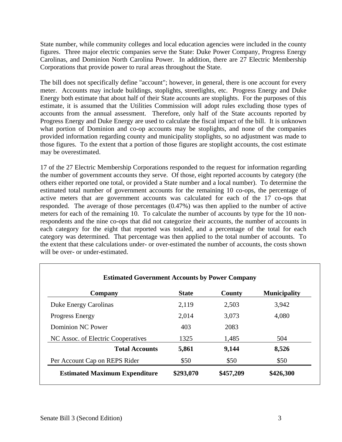State number, while community colleges and local education agencies were included in the county figures. Three major electric companies serve the State: Duke Power Company, Progress Energy Carolinas, and Dominion North Carolina Power. In addition, there are 27 Electric Membership Corporations that provide power to rural areas throughout the State.

The bill does not specifically define "account"; however, in general, there is one account for every meter. Accounts may include buildings, stoplights, streetlights, etc. Progress Energy and Duke Energy both estimate that about half of their State accounts are stoplights. For the purposes of this estimate, it is assumed that the Utilities Commission will adopt rules excluding those types of accounts from the annual assessment. Therefore, only half of the State accounts reported by Progress Energy and Duke Energy are used to calculate the fiscal impact of the bill. It is unknown what portion of Dominion and co-op accounts may be stoplights, and none of the companies provided information regarding county and municipality stoplights, so no adjustment was made to those figures. To the extent that a portion of those figures are stoplight accounts, the cost estimate may be overestimated.

17 of the 27 Electric Membership Corporations responded to the request for information regarding the number of government accounts they serve. Of those, eight reported accounts by category (the others either reported one total, or provided a State number and a local number). To determine the estimated total number of government accounts for the remaining 10 co-ops, the percentage of active meters that are government accounts was calculated for each of the 17 co-ops that responded. The average of those percentages (0.47%) was then applied to the number of active meters for each of the remaining 10. To calculate the number of accounts by type for the 10 nonrespondents and the nine co-ops that did not categorize their accounts, the number of accounts in each category for the eight that reported was totaled, and a percentage of the total for each category was determined. That percentage was then applied to the total number of accounts. To the extent that these calculations under- or over-estimated the number of accounts, the costs shown will be over- or under-estimated.

| Company                              | <b>State</b> | County    | <b>Municipality</b> |
|--------------------------------------|--------------|-----------|---------------------|
| Duke Energy Carolinas                | 2,119        | 2,503     | 3,942               |
| <b>Progress Energy</b>               | 2,014        | 3,073     | 4,080               |
| Dominion NC Power                    | 403          | 2083      |                     |
| NC Assoc. of Electric Cooperatives   | 1325         | 1,485     | 504                 |
| <b>Total Accounts</b>                | 5,861        | 9,144     | 8,526               |
| Per Account Cap on REPS Rider        | \$50         | \$50      | \$50                |
| <b>Estimated Maximum Expenditure</b> | \$293,070    | \$457,209 | \$426,300           |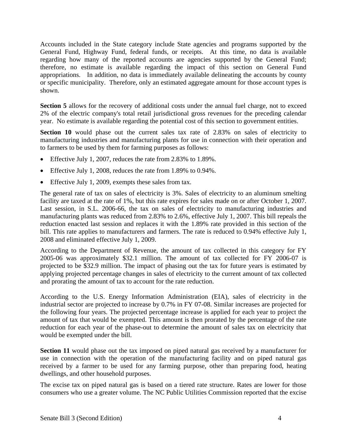Accounts included in the State category include State agencies and programs supported by the General Fund, Highway Fund, federal funds, or receipts. At this time, no data is available regarding how many of the reported accounts are agencies supported by the General Fund; therefore, no estimate is available regarding the impact of this section on General Fund appropriations. In addition, no data is immediately available delineating the accounts by county or specific municipality. Therefore, only an estimated aggregate amount for those account types is shown.

**Section 5** allows for the recovery of additional costs under the annual fuel charge, not to exceed 2% of the electric company's total retail jurisdictional gross revenues for the preceding calendar year. No estimate is available regarding the potential cost of this section to government entities.

Section 10 would phase out the current sales tax rate of 2.83% on sales of electricity to manufacturing industries and manufacturing plants for use in connection with their operation and to farmers to be used by them for farming purposes as follows:

- Effective July 1, 2007, reduces the rate from 2.83% to 1.89%.
- Effective July 1, 2008, reduces the rate from 1.89% to 0.94%.
- Effective July 1, 2009, exempts these sales from tax.

The general rate of tax on sales of electricity is 3%. Sales of electricity to an aluminum smelting facility are taxed at the rate of 1%, but this rate expires for sales made on or after October 1, 2007. Last session, in S.L. 2006-66, the tax on sales of electricity to manufacturing industries and manufacturing plants was reduced from 2.83% to 2.6%, effective July 1, 2007. This bill repeals the reduction enacted last session and replaces it with the 1.89% rate provided in this section of the bill. This rate applies to manufacturers and farmers. The rate is reduced to 0.94% effective July 1, 2008 and eliminated effective July 1, 2009.

According to the Department of Revenue, the amount of tax collected in this category for FY 2005-06 was approximately \$32.1 million. The amount of tax collected for FY 2006-07 is projected to be \$32.9 million. The impact of phasing out the tax for future years is estimated by applying projected percentage changes in sales of electricity to the current amount of tax collected and prorating the amount of tax to account for the rate reduction.

According to the U.S. Energy Information Administration (EIA), sales of electricity in the industrial sector are projected to increase by 0.7% in FY 07-08. Similar increases are projected for the following four years. The projected percentage increase is applied for each year to project the amount of tax that would be exempted. This amount is then prorated by the percentage of the rate reduction for each year of the phase-out to determine the amount of sales tax on electricity that would be exempted under the bill.

**Section 11** would phase out the tax imposed on piped natural gas received by a manufacturer for use in connection with the operation of the manufacturing facility and on piped natural gas received by a farmer to be used for any farming purpose, other than preparing food, heating dwellings, and other household purposes.

The excise tax on piped natural gas is based on a tiered rate structure. Rates are lower for those consumers who use a greater volume. The NC Public Utilities Commission reported that the excise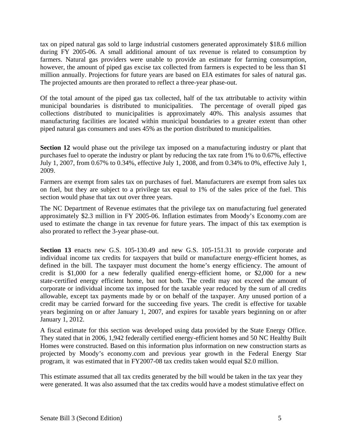tax on piped natural gas sold to large industrial customers generated approximately \$18.6 million during FY 2005-06. A small additional amount of tax revenue is related to consumption by farmers. Natural gas providers were unable to provide an estimate for farming consumption, however, the amount of piped gas excise tax collected from farmers is expected to be less than \$1 million annually. Projections for future years are based on EIA estimates for sales of natural gas. The projected amounts are then prorated to reflect a three-year phase-out.

Of the total amount of the piped gas tax collected, half of the tax attributable to activity within municipal boundaries is distributed to municipalities. The percentage of overall piped gas collections distributed to municipalities is approximately 40%. This analysis assumes that manufacturing facilities are located within municipal boundaries to a greater extent than other piped natural gas consumers and uses 45% as the portion distributed to municipalities.

**Section 12** would phase out the privilege tax imposed on a manufacturing industry or plant that purchases fuel to operate the industry or plant by reducing the tax rate from 1% to 0.67%, effective July 1, 2007, from 0.67% to 0.34%, effective July 1, 2008, and from 0.34% to 0%, effective July 1, 2009.

Farmers are exempt from sales tax on purchases of fuel. Manufacturers are exempt from sales tax on fuel, but they are subject to a privilege tax equal to 1% of the sales price of the fuel. This section would phase that tax out over three years.

The NC Department of Revenue estimates that the privilege tax on manufacturing fuel generated approximately \$2.3 million in FY 2005-06. Inflation estimates from Moody's Economy.com are used to estimate the change in tax revenue for future years. The impact of this tax exemption is also prorated to reflect the 3-year phase-out.

**Section 13** enacts new G.S. 105-130.49 and new G.S. 105-151.31 to provide corporate and individual income tax credits for taxpayers that build or manufacture energy-efficient homes, as defined in the bill. The taxpayer must document the home's energy efficiency. The amount of credit is \$1,000 for a new federally qualified energy-efficient home, or \$2,000 for a new state-certified energy efficient home, but not both. The credit may not exceed the amount of corporate or individual income tax imposed for the taxable year reduced by the sum of all credits allowable, except tax payments made by or on behalf of the taxpayer. Any unused portion of a credit may be carried forward for the succeeding five years. The credit is effective for taxable years beginning on or after January 1, 2007, and expires for taxable years beginning on or after January 1, 2012.

A fiscal estimate for this section was developed using data provided by the State Energy Office. They stated that in 2006, 1,942 federally certified energy-efficient homes and 50 NC Healthy Built Homes were constructed. Based on this information plus information on new construction starts as projected by Moody's economy.com and previous year growth in the Federal Energy Star program, it was estimated that in FY2007-08 tax credits taken would equal \$2.0 million.

This estimate assumed that all tax credits generated by the bill would be taken in the tax year they were generated. It was also assumed that the tax credits would have a modest stimulative effect on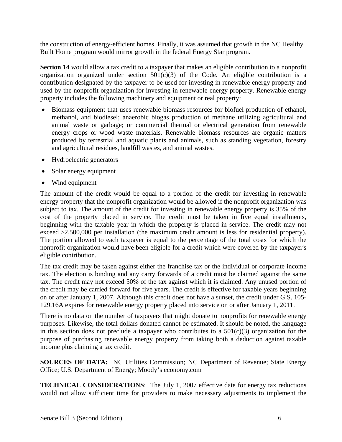the construction of energy-efficient homes. Finally, it was assumed that growth in the NC Healthy Built Home program would mirror growth in the federal Energy Star program.

**Section 14** would allow a tax credit to a taxpayer that makes an eligible contribution to a nonprofit organization organized under section  $501(c)(3)$  of the Code. An eligible contribution is a contribution designated by the taxpayer to be used for investing in renewable energy property and used by the nonprofit organization for investing in renewable energy property. Renewable energy property includes the following machinery and equipment or real property:

- Biomass equipment that uses renewable biomass resources for biofuel production of ethanol, methanol, and biodiesel; anaerobic biogas production of methane utilizing agricultural and animal waste or garbage; or commercial thermal or electrical generation from renewable energy crops or wood waste materials. Renewable biomass resources are organic matters produced by terrestrial and aquatic plants and animals, such as standing vegetation, forestry and agricultural residues, landfill wastes, and animal wastes.
- Hydroelectric generators
- Solar energy equipment
- Wind equipment

The amount of the credit would be equal to a portion of the credit for investing in renewable energy property that the nonprofit organization would be allowed if the nonprofit organization was subject to tax. The amount of the credit for investing in renewable energy property is 35% of the cost of the property placed in service. The credit must be taken in five equal installments, beginning with the taxable year in which the property is placed in service. The credit may not exceed \$2,500,000 per installation (the maximum credit amount is less for residential property). The portion allowed to each taxpayer is equal to the percentage of the total costs for which the nonprofit organization would have been eligible for a credit which were covered by the taxpayer's eligible contribution.

The tax credit may be taken against either the franchise tax or the individual or corporate income tax. The election is binding and any carry forwards of a credit must be claimed against the same tax. The credit may not exceed 50% of the tax against which it is claimed. Any unused portion of the credit may be carried forward for five years. The credit is effective for taxable years beginning on or after January 1, 2007. Although this credit does not have a sunset, the credit under G.S. 105- 129.16A expires for renewable energy property placed into service on or after January 1, 2011.

There is no data on the number of taxpayers that might donate to nonprofits for renewable energy purposes. Likewise, the total dollars donated cannot be estimated. It should be noted, the language in this section does not preclude a taxpayer who contributes to a  $501(c)(3)$  organization for the purpose of purchasing renewable energy property from taking both a deduction against taxable income plus claiming a tax credit.

**SOURCES OF DATA:** NC Utilities Commission; NC Department of Revenue; State Energy Office; U.S. Department of Energy; Moody's economy.com

**TECHNICAL CONSIDERATIONS**: The July 1, 2007 effective date for energy tax reductions would not allow sufficient time for providers to make necessary adjustments to implement the